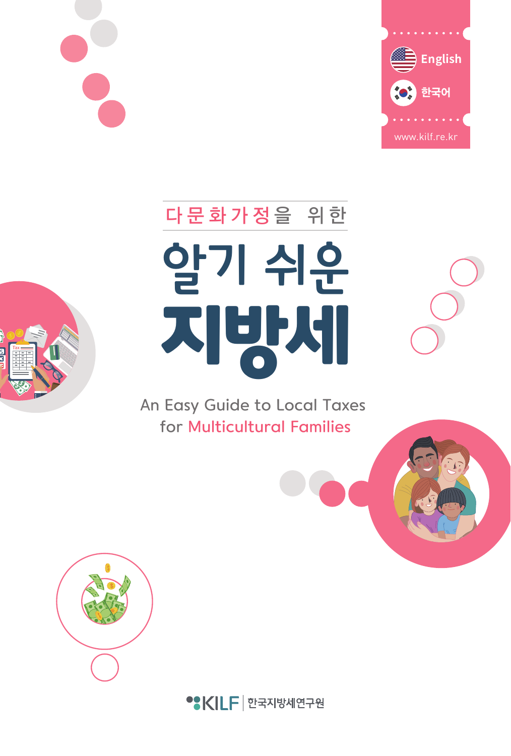



# 알기 쉬운 지방시 다 문 화 가 정 을 위 한

An Easy Guide to Local Taxes for Multicultural Families



• KILF | 한국지방세연구원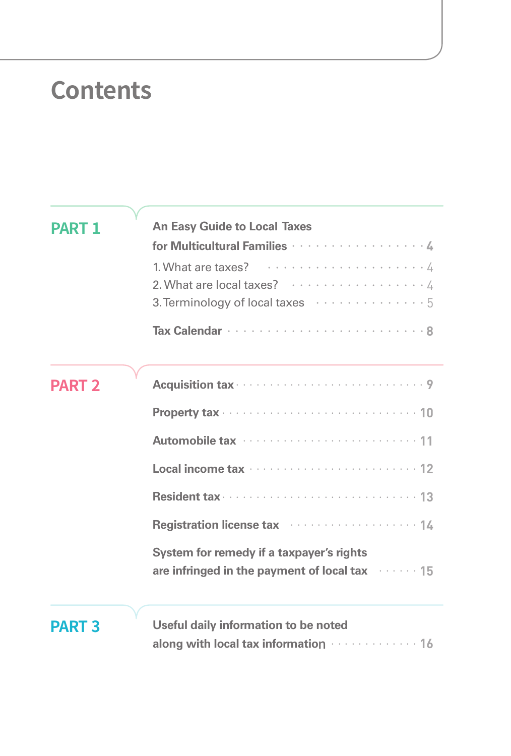### **Contents**

| <b>PART 1</b> | <b>An Easy Guide to Local Taxes</b>                                                                |
|---------------|----------------------------------------------------------------------------------------------------|
|               | for Multicultural Families ····················4                                                   |
|               | 2. What are local taxes? $\cdots$ 4                                                                |
|               |                                                                                                    |
| <b>PART 2</b> |                                                                                                    |
|               |                                                                                                    |
|               |                                                                                                    |
|               |                                                                                                    |
|               |                                                                                                    |
|               | Registration license tax manufactured and 14                                                       |
|               | System for remedy if a taxpayer's rights<br>are infringed in the payment of local tax manusleft 15 |
|               |                                                                                                    |

### **PART 3**

| Useful daily information to be noted                       |  |
|------------------------------------------------------------|--|
| along with local tax information $\cdots \cdots \cdots$ 16 |  |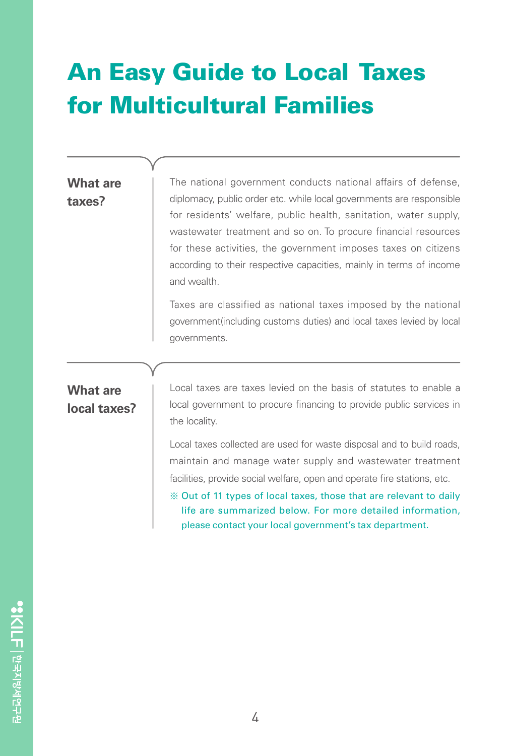### An Easy Guide to Local Taxes for Multicultural Families

#### **What are taxes?**

The national government conducts national affairs of defense, diplomacy, public order etc. while local governments are responsible for residents' welfare, public health, sanitation, water supply, wastewater treatment and so on. To procure financial resources for these activities, the government imposes taxes on citizens according to their respective capacities, mainly in terms of income and wealth.

Taxes are classified as national taxes imposed by the national government(including customs duties) and local taxes levied by local governments.

#### **What are local taxes?**

Local taxes are taxes levied on the basis of statutes to enable a local government to procure financing to provide public services in the locality.

Local taxes collected are used for waste disposal and to build roads, maintain and manage water supply and wastewater treatment facilities, provide social welfare, open and operate fire stations, etc.

※ Out of 11 types of local taxes, those that are relevant to daily life are summarized below. For more detailed information, please contact your local government's tax department.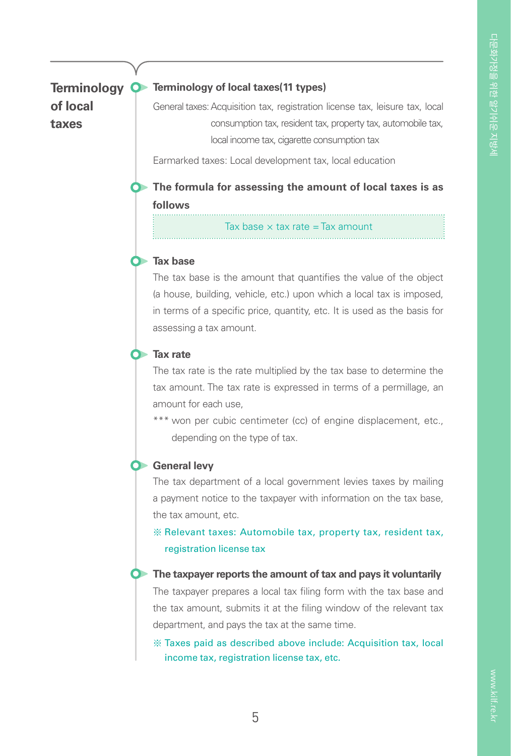**of local taxes**

#### **Terminology O** Terminology of local taxes(11 types)

General taxes: Acquisition tax, registration license tax, leisure tax, local consumption tax, resident tax, property tax, automobile tax, local income tax, cigarette consumption tax

Earmarked taxes: Local development tax, local education

**The formula for assessing the amount of local taxes is as follows** . . . . . . . . . . . . .

Tax base  $\times$  tax rate = Tax amount



The tax base is the amount that quantifies the value of the object (a house, building, vehicle, etc.) upon which a local tax is imposed, in terms of a specific price, quantity, etc. It is used as the basis for assessing a tax amount.



The tax rate is the rate multiplied by the tax base to determine the tax amount. The tax rate is expressed in terms of a permillage, an amount for each use,

\*\*\* won per cubic centimeter (cc) of engine displacement, etc., depending on the type of tax.

#### **C** General levy

The tax department of a local government levies taxes by mailing a payment notice to the taxpayer with information on the tax base, the tax amount, etc.

※ Relevant taxes: Automobile tax, property tax, resident tax, registration license tax

#### **The taxpayer reports the amount of tax and pays it voluntarily**

The taxpayer prepares a local tax filing form with the tax base and the tax amount, submits it at the filing window of the relevant tax department, and pays the tax at the same time.

※ Taxes paid as described above include: Acquisition tax, local income tax, registration license tax, etc.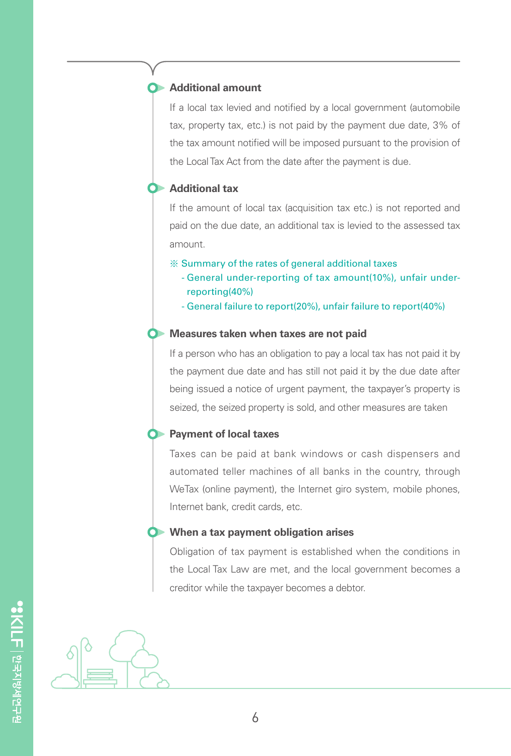#### **Additional amount**

If a local tax levied and notified by a local government (automobile tax, property tax, etc.) is not paid by the payment due date, 3% of the tax amount notified will be imposed pursuant to the provision of the Local Tax Act from the date after the payment is due.

#### **Additional tax**

If the amount of local tax (acquisition tax etc.) is not reported and paid on the due date, an additional tax is levied to the assessed tax amount.

- ※ Summary of the rates of general additional taxes
	- General under-reporting of tax amount(10%), unfair underreporting(40%)
	- General failure to report(20%), unfair failure to report(40%)

#### **C** Measures taken when taxes are not paid

If a person who has an obligation to pay a local tax has not paid it by the payment due date and has still not paid it by the due date after being issued a notice of urgent payment, the taxpayer's property is seized, the seized property is sold, and other measures are taken

#### **Payment of local taxes**

Taxes can be paid at bank windows or cash dispensers and automated teller machines of all banks in the country, through WeTax (online payment), the Internet giro system, mobile phones, Internet bank, credit cards, etc.

#### **When a tax payment obligation arises**

Obligation of tax payment is established when the conditions in the Local Tax Law are met, and the local government becomes a creditor while the taxpayer becomes a debtor.

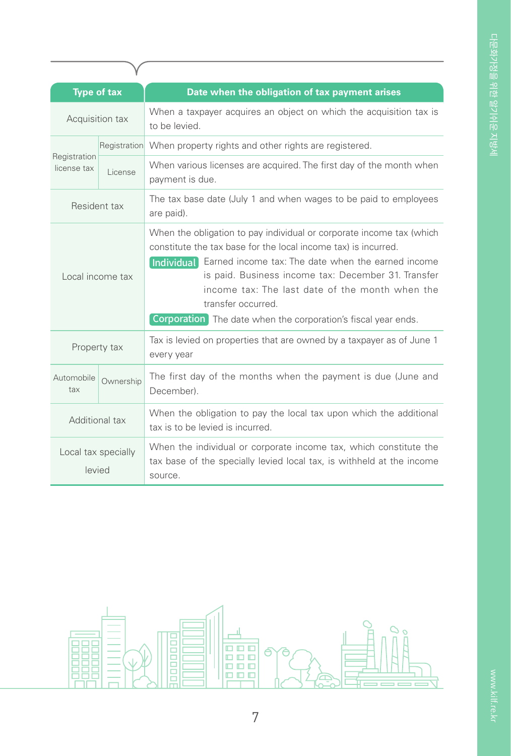| <b>Type of tax</b>            |              | Date when the obligation of tax payment arises                                                                                                                                                                                                                                                                                                                                                                  |
|-------------------------------|--------------|-----------------------------------------------------------------------------------------------------------------------------------------------------------------------------------------------------------------------------------------------------------------------------------------------------------------------------------------------------------------------------------------------------------------|
| Acquisition tax               |              | When a taxpayer acquires an object on which the acquisition tax is<br>to be levied.                                                                                                                                                                                                                                                                                                                             |
| Registration<br>license tax   | Registration | When property rights and other rights are registered.                                                                                                                                                                                                                                                                                                                                                           |
|                               | License      | When various licenses are acquired. The first day of the month when<br>payment is due.                                                                                                                                                                                                                                                                                                                          |
| Resident tax                  |              | The tax base date (July 1 and when wages to be paid to employees<br>are paid).                                                                                                                                                                                                                                                                                                                                  |
| Local income tax              |              | When the obligation to pay individual or corporate income tax (which<br>constitute the tax base for the local income tax) is incurred.<br>Individual Earned income tax: The date when the earned income<br>is paid. Business income tax: December 31. Transfer<br>income tax: The last date of the month when the<br>transfer occurred.<br><b>Corporation</b> The date when the corporation's fiscal year ends. |
| Property tax                  |              | Tax is levied on properties that are owned by a taxpayer as of June 1<br>every year                                                                                                                                                                                                                                                                                                                             |
| Automobile<br>tax             | Ownership    | The first day of the months when the payment is due (June and<br>December).                                                                                                                                                                                                                                                                                                                                     |
| Additional tax                |              | When the obligation to pay the local tax upon which the additional<br>tax is to be levied is incurred.                                                                                                                                                                                                                                                                                                          |
| Local tax specially<br>levied |              | When the individual or corporate income tax, which constitute the<br>tax base of the specially levied local tax, is withheld at the income<br>source.                                                                                                                                                                                                                                                           |

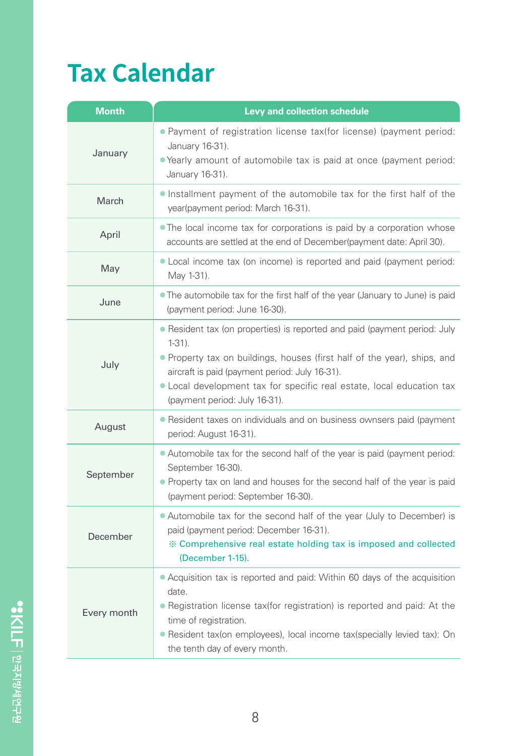# **Tax Calendar**

| <b>Month</b> | Levy and collection schedule                                                                                                                                                                                                                                                                                                   |
|--------------|--------------------------------------------------------------------------------------------------------------------------------------------------------------------------------------------------------------------------------------------------------------------------------------------------------------------------------|
| January      | . Payment of registration license tax(for license) (payment period:<br>January 16-31).<br>• Yearly amount of automobile tax is paid at once (payment period:<br>January 16-31).                                                                                                                                                |
| March        | . Installment payment of the automobile tax for the first half of the<br>year(payment period: March 16-31).                                                                                                                                                                                                                    |
| April        | • The local income tax for corporations is paid by a corporation whose<br>accounts are settled at the end of December(payment date: April 30).                                                                                                                                                                                 |
| May          | • Local income tax (on income) is reported and paid (payment period:<br>May 1-31).                                                                                                                                                                                                                                             |
| June         | • The automobile tax for the first half of the year (January to June) is paid<br>(payment period: June 16-30).                                                                                                                                                                                                                 |
| July         | • Resident tax (on properties) is reported and paid (payment period: July<br>$1-31$ ).<br>. Property tax on buildings, houses (first half of the year), ships, and<br>aircraft is paid (payment period: July 16-31).<br>• Local development tax for specific real estate, local education tax<br>(payment period: July 16-31). |
| August       | • Resident taxes on individuals and on business ownsers paid (payment<br>period: August 16-31).                                                                                                                                                                                                                                |
| September    | • Automobile tax for the second half of the year is paid (payment period:<br>September 16-30).<br>• Property tax on land and houses for the second half of the year is paid<br>(payment period: September 16-30).                                                                                                              |
| December     | • Automobile tax for the second half of the year (July to December) is<br>paid (payment period: December 16-31).<br>X Comprehensive real estate holding tax is imposed and collected<br>(December 1-15).                                                                                                                       |
| Every month  | • Acquisition tax is reported and paid: Within 60 days of the acquisition<br>date.<br>• Registration license tax(for registration) is reported and paid: At the<br>time of registration.<br>• Resident tax(on employees), local income tax(specially levied tax): On<br>the tenth day of every month.                          |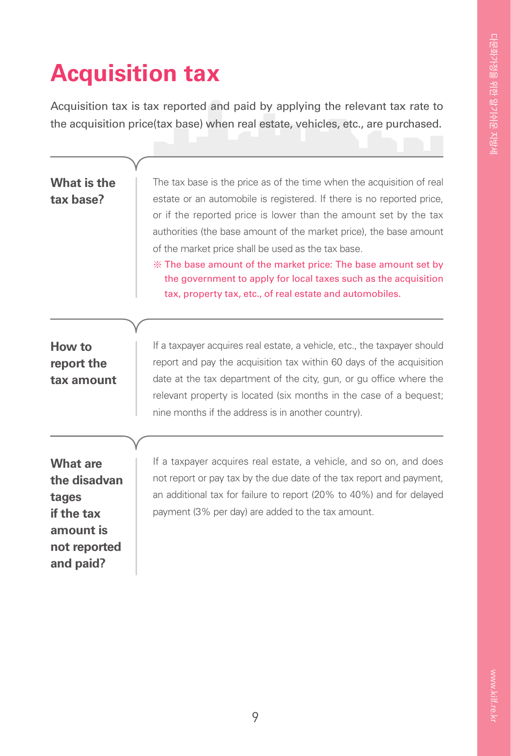### **Acquisition tax**

Acquisition tax is tax reported and paid by applying the relevant tax rate to the acquisition price(tax base) when real estate, vehicles, etc., are purchased.

| What is the<br>tax base?                                                                         | The tax base is the price as of the time when the acquisition of real<br>estate or an automobile is registered. If there is no reported price,<br>or if the reported price is lower than the amount set by the tax<br>authorities (the base amount of the market price), the base amount<br>of the market price shall be used as the tax base.<br>X The base amount of the market price: The base amount set by<br>the government to apply for local taxes such as the acquisition<br>tax, property tax, etc., of real estate and automobiles. |
|--------------------------------------------------------------------------------------------------|------------------------------------------------------------------------------------------------------------------------------------------------------------------------------------------------------------------------------------------------------------------------------------------------------------------------------------------------------------------------------------------------------------------------------------------------------------------------------------------------------------------------------------------------|
| How to<br>report the<br>tax amount                                                               | If a taxpayer acquires real estate, a vehicle, etc., the taxpayer should<br>report and pay the acquisition tax within 60 days of the acquisition<br>date at the tax department of the city, gun, or gu office where the<br>relevant property is located (six months in the case of a bequest;<br>nine months if the address is in another country).                                                                                                                                                                                            |
| <b>What are</b><br>the disadvan<br>tages<br>if the tax<br>amount is<br>not reported<br>and paid? | If a taxpayer acquires real estate, a vehicle, and so on, and does<br>not report or pay tax by the due date of the tax report and payment,<br>an additional tax for failure to report (20% to 40%) and for delayed<br>payment (3% per day) are added to the tax amount.                                                                                                                                                                                                                                                                        |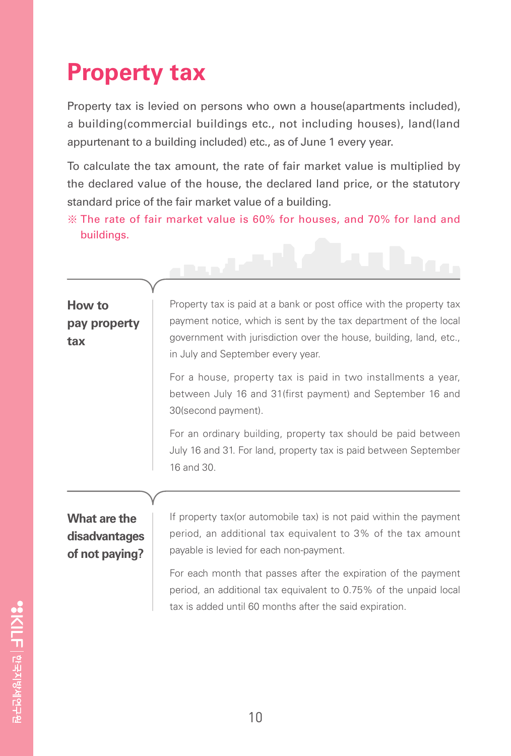### **Property tax**

Property tax is levied on persons who own a house(apartments included), a building(commercial buildings etc., not including houses), land(land appurtenant to a building included) etc., as of June 1 every year.

To calculate the tax amount, the rate of fair market value is multiplied by the declared value of the house, the declared land price, or the statutory standard price of the fair market value of a building.

※ The rate of fair market value is 60% for houses, and 70% for land and buildings.

فأعصبهم

#### **How to pay property tax**

Property tax is paid at a bank or post office with the property tax payment notice, which is sent by the tax department of the local government with jurisdiction over the house, building, land, etc., in July and September every year.

For a house, property tax is paid in two installments a year, between July 16 and 31(first payment) and September 16 and 30(second payment).

For an ordinary building, property tax should be paid between July 16 and 31. For land, property tax is paid between September 16 and 30.

#### **What are the disadvantages of not paying?**

If property tax(or automobile tax) is not paid within the payment period, an additional tax equivalent to 3% of the tax amount payable is levied for each non-payment.

For each month that passes after the expiration of the payment period, an additional tax equivalent to 0.75% of the unpaid local tax is added until 60 months after the said expiration.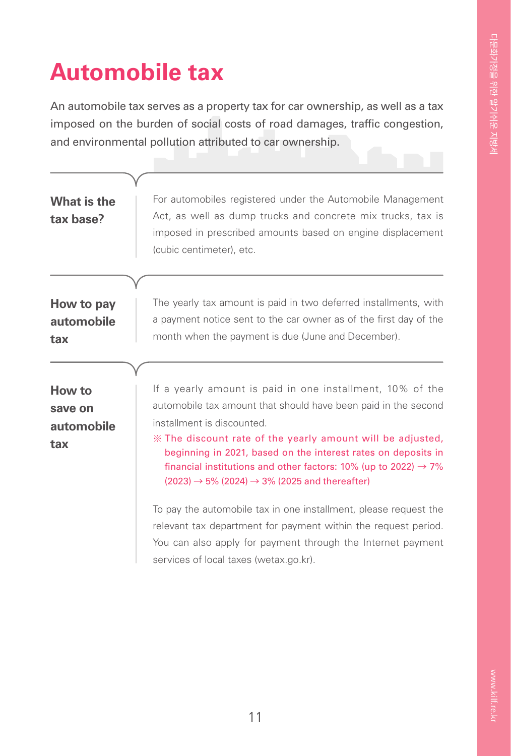### **Automobile tax**

An automobile tax serves as a property tax for car ownership, as well as a tax imposed on the burden of social costs of road damages, traffic congestion, and environmental pollution attributed to car ownership.

| What is the<br>tax base?               | For automobiles registered under the Automobile Management<br>Act, as well as dump trucks and concrete mix trucks, tax is<br>imposed in prescribed amounts based on engine displacement<br>(cubic centimeter), etc.                                                                                                                                                                                                                                |
|----------------------------------------|----------------------------------------------------------------------------------------------------------------------------------------------------------------------------------------------------------------------------------------------------------------------------------------------------------------------------------------------------------------------------------------------------------------------------------------------------|
|                                        |                                                                                                                                                                                                                                                                                                                                                                                                                                                    |
| How to pay<br>automobile<br>tax        | The yearly tax amount is paid in two deferred installments, with<br>a payment notice sent to the car owner as of the first day of the<br>month when the payment is due (June and December).                                                                                                                                                                                                                                                        |
|                                        |                                                                                                                                                                                                                                                                                                                                                                                                                                                    |
| How to<br>save on<br>automobile<br>tax | If a yearly amount is paid in one installment, 10% of the<br>automobile tax amount that should have been paid in the second<br>installment is discounted.<br>* The discount rate of the yearly amount will be adjusted,<br>beginning in 2021, based on the interest rates on deposits in<br>financial institutions and other factors: 10% (up to 2022) $\rightarrow$ 7%<br>$(2023) \rightarrow 5\%$ (2024) $\rightarrow 3\%$ (2025 and thereafter) |
|                                        | To pay the automobile tax in one installment, please request the<br>relevant tax department for payment within the request period.<br>You can also apply for payment through the Internet payment<br>services of local taxes (wetax.go.kr).                                                                                                                                                                                                        |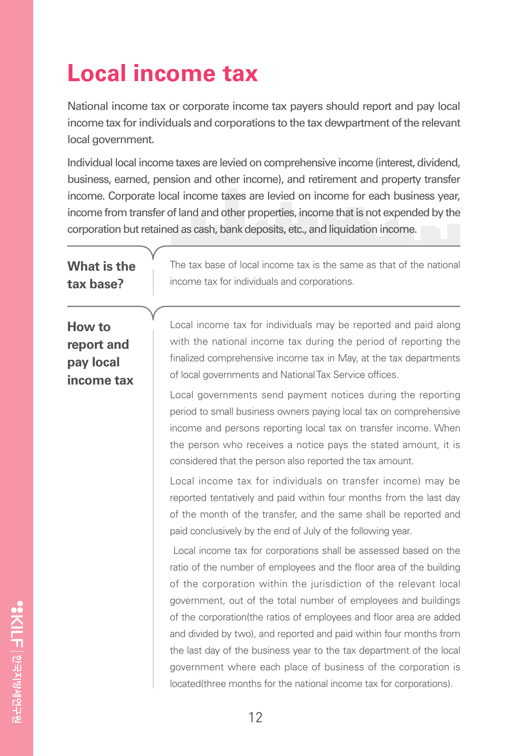### **Local income tax**

National income tax or corporate income tax payers should report and pay local income tax for individuals and corporations to the tax dewpartment of the relevant local government.

Individual local income taxes are levied on comprehensive income (interest, dividend, business, earned, pension and other income), and retirement and property transfer income. Corporate local income taxes are levied on income for each business year, income from transfer of land and other properties, income that is not expended by the corporation but retained as cash, bank deposits, etc., and liquidation income.

| <b>What is the</b><br>tax base?                 | The tax base of local income tax is the same as that of the national<br>income tax for individuals and corporations.                                                                                                                                                                                                                                                                                                                                                                                                                                                                                                                                                                                                                                                                                                                                                                                                                                                                                                                                                                                                                                                                                                                                                                                                                                                                                                                                                                                                          |
|-------------------------------------------------|-------------------------------------------------------------------------------------------------------------------------------------------------------------------------------------------------------------------------------------------------------------------------------------------------------------------------------------------------------------------------------------------------------------------------------------------------------------------------------------------------------------------------------------------------------------------------------------------------------------------------------------------------------------------------------------------------------------------------------------------------------------------------------------------------------------------------------------------------------------------------------------------------------------------------------------------------------------------------------------------------------------------------------------------------------------------------------------------------------------------------------------------------------------------------------------------------------------------------------------------------------------------------------------------------------------------------------------------------------------------------------------------------------------------------------------------------------------------------------------------------------------------------------|
| How to<br>report and<br>pay local<br>income tax | Local income tax for individuals may be reported and paid along<br>with the national income tax during the period of reporting the<br>finalized comprehensive income tax in May, at the tax departments<br>of local governments and National Tax Service offices.<br>Local governments send payment notices during the reporting<br>period to small business owners paying local tax on comprehensive<br>income and persons reporting local tax on transfer income. When<br>the person who receives a notice pays the stated amount, it is<br>considered that the person also reported the tax amount.<br>Local income tax for individuals on transfer income) may be<br>reported tentatively and paid within four months from the last day<br>of the month of the transfer, and the same shall be reported and<br>paid conclusively by the end of July of the following year.<br>Local income tax for corporations shall be assessed based on the<br>ratio of the number of employees and the floor area of the building<br>of the corporation within the jurisdiction of the relevant local<br>government, out of the total number of employees and buildings<br>of the corporation (the ratios of employees and floor area are added<br>and divided by two), and reported and paid within four months from<br>the last day of the business year to the tax department of the local<br>government where each place of business of the corporation is<br>located(three months for the national income tax for corporations). |
|                                                 |                                                                                                                                                                                                                                                                                                                                                                                                                                                                                                                                                                                                                                                                                                                                                                                                                                                                                                                                                                                                                                                                                                                                                                                                                                                                                                                                                                                                                                                                                                                               |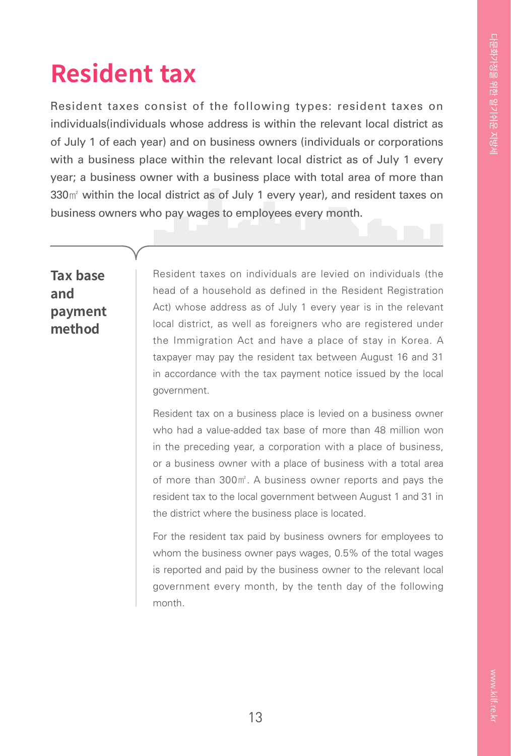### **Resident tax**

Resident taxes consist of the following types: resident taxes on individuals(individuals whose address is within the relevant local district as of July 1 of each year) and on business owners (individuals or corporations with a business place within the relevant local district as of July 1 every year; a business owner with a business place with total area of more than 330㎡ within the local district as of July 1 every year), and resident taxes on business owners who pay wages to employees every month.

#### **Tax base and payment method**

Resident taxes on individuals are levied on individuals (the head of a household as defined in the Resident Registration Act) whose address as of July 1 every year is in the relevant local district, as well as foreigners who are registered under the Immigration Act and have a place of stay in Korea. A taxpayer may pay the resident tax between August 16 and 31 in accordance with the tax payment notice issued by the local government.

Resident tax on a business place is levied on a business owner who had a value-added tax base of more than 48 million won in the preceding year, a corporation with a place of business, or a business owner with a place of business with a total area of more than 300㎡. A business owner reports and pays the resident tax to the local government between August 1 and 31 in the district where the business place is located.

For the resident tax paid by business owners for employees to whom the business owner pays wages, 0.5% of the total wages is reported and paid by the business owner to the relevant local government every month, by the tenth day of the following month.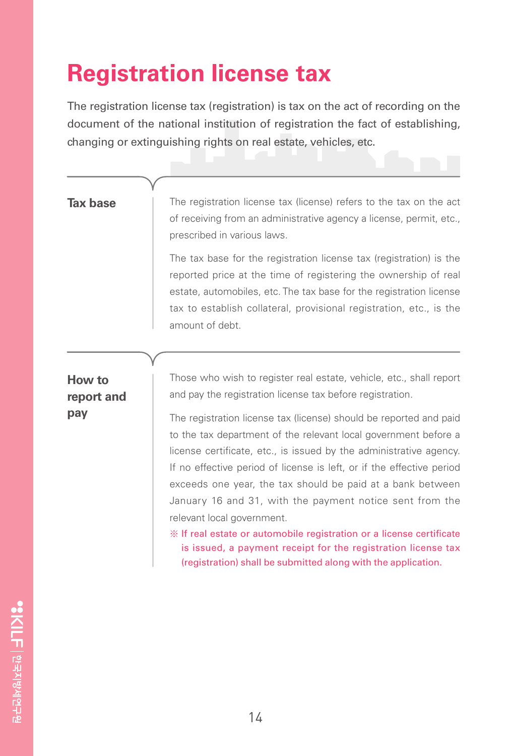### **Registration license tax**

The registration license tax (registration) is tax on the act of recording on the document of the national institution of registration the fact of establishing, changing or extinguishing rights on real estate, vehicles, etc.

#### **Tax base**

The registration license tax (license) refers to the tax on the act of receiving from an administrative agency a license, permit, etc., prescribed in various laws.

The tax base for the registration license tax (registration) is the reported price at the time of registering the ownership of real estate, automobiles, etc. The tax base for the registration license tax to establish collateral, provisional registration, etc., is the amount of debt.

#### **How to report and pay**

Those who wish to register real estate, vehicle, etc., shall report and pay the registration license tax before registration.

The registration license tax (license) should be reported and paid to the tax department of the relevant local government before a license certificate, etc., is issued by the administrative agency. If no effective period of license is left, or if the effective period exceeds one year, the tax should be paid at a bank between January 16 and 31, with the payment notice sent from the relevant local government.

※ If real estate or automobile registration or a license certificate is issued, a payment receipt for the registration license tax (registration) shall be submitted along with the application.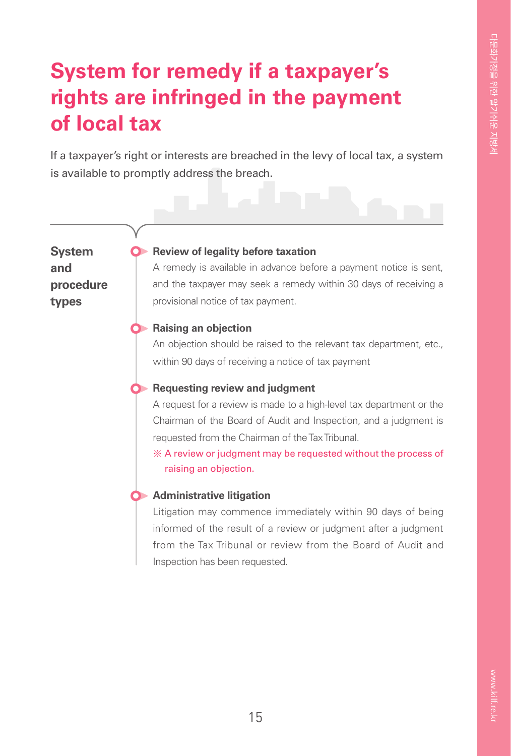### **System for remedy if a taxpayer's rights are infringed in the payment of local tax**

If a taxpayer's right or interests are breached in the levy of local tax, a system is available to promptly address the breach.

**System and procedure types** 

#### **Review of legality before taxation**

A remedy is available in advance before a payment notice is sent, and the taxpayer may seek a remedy within 30 days of receiving a provisional notice of tax payment.

#### **C** Raising an objection

An objection should be raised to the relevant tax department, etc., within 90 days of receiving a notice of tax payment

#### **C** Requesting review and judgment

A request for a review is made to a high-level tax department or the Chairman of the Board of Audit and Inspection, and a judgment is requested from the Chairman of the Tax Tribunal.

※ A review or judgment may be requested without the process of raising an objection.



#### **Administrative litigation**

Litigation may commence immediately within 90 days of being informed of the result of a review or judgment after a judgment from the Tax Tribunal or review from the Board of Audit and Inspection has been requested.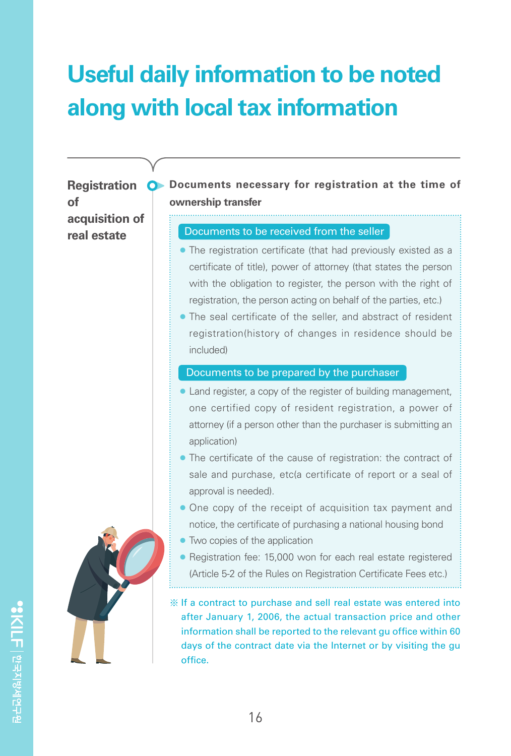### **Useful daily information to be noted along with local tax information**

**of acquisition of real estate**

**Registration O** Documents necessary for registration at the time of **ownership transfer**

#### Documents to be received from the seller

- The registration certificate (that had previously existed as a certificate of title), power of attorney (that states the person with the obligation to register, the person with the right of registration, the person acting on behalf of the parties, etc.)
- The seal certificate of the seller, and abstract of resident registration(history of changes in residence should be included)

#### Documents to be prepared by the purchaser

- Land register, a copy of the register of building management, one certified copy of resident registration, a power of attorney (if a person other than the purchaser is submitting an application)
- The certificate of the cause of registration: the contract of sale and purchase, etc(a certificate of report or a seal of approval is needed).
- One copy of the receipt of acquisition tax payment and notice, the certificate of purchasing a national housing bond
- Two copies of the application
- Registration fee: 15,000 won for each real estate registered (Article 5-2 of the Rules on Registration Certificate Fees etc.)

※ If a contract to purchase and sell real estate was entered into after January 1, 2006, the actual transaction price and other information shall be reported to the relevant gu office within 60 days of the contract date via the Internet or by visiting the gu office.



SKILF | 한국지방세연구원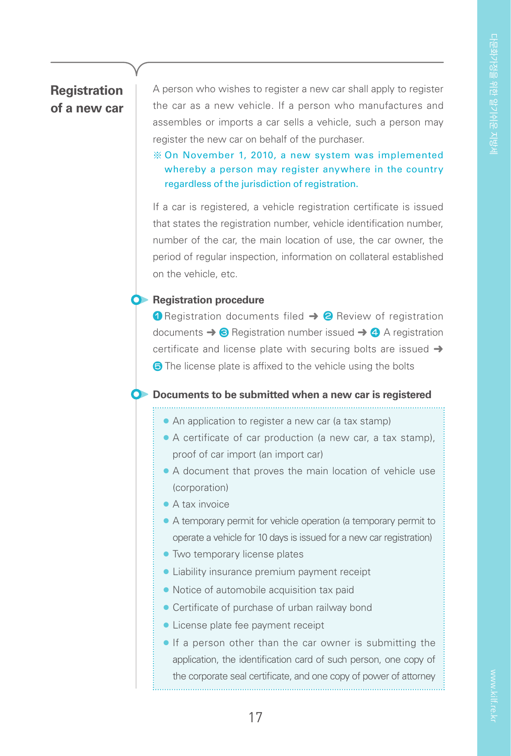#### **Registration of a new car**

A person who wishes to register a new car shall apply to register the car as a new vehicle. If a person who manufactures and assembles or imports a car sells a vehicle, such a person may register the new car on behalf of the purchaser.

#### ※ On November 1, 2010, a new system was implemented whereby a person may register anywhere in the country regardless of the jurisdiction of registration.

If a car is registered, a vehicle registration certificate is issued that states the registration number, vehicle identification number, number of the car, the main location of use, the car owner, the period of regular inspection, information on collateral established on the vehicle, etc.

#### **C** Registration procedure

**1** Registration documents filed → 2 Review of registration documents  $\rightarrow$  3 Registration number issued  $\rightarrow$  4 A registration certificate and license plate with securing bolts are issued  $\rightarrow$ **6** The license plate is affixed to the vehicle using the bolts

#### **C** Documents to be submitted when a new car is registered

● An application to register a new car (a tax stamp)

- A certificate of car production (a new car, a tax stamp), proof of car import (an import car)
- A document that proves the main location of vehicle use (corporation)
- A tax invoice
- A temporary permit for vehicle operation (a temporary permit to operate a vehicle for 10 days is issued for a new car registration)
- Two temporary license plates
- Liability insurance premium payment receipt
- Notice of automobile acquisition tax paid
- Certificate of purchase of urban railway bond
- License plate fee payment receipt
- If a person other than the car owner is submitting the application, the identification card of such person, one copy of the corporate seal certificate, and one copy of power of attorney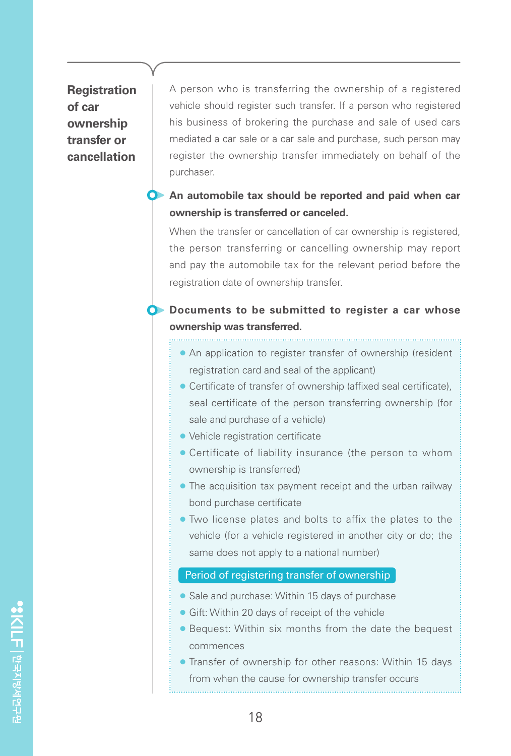#### **Registration of car ownership transfer or cancellation**

A person who is transferring the ownership of a registered vehicle should register such transfer. If a person who registered his business of brokering the purchase and sale of used cars mediated a car sale or a car sale and purchase, such person may register the ownership transfer immediately on behalf of the purchaser.

#### **An automobile tax should be reported and paid when car ownership is transferred or canceled.**

When the transfer or cancellation of car ownership is registered. the person transferring or cancelling ownership may report and pay the automobile tax for the relevant period before the registration date of ownership transfer.

#### **O** Documents to be submitted to register a car whose **ownership was transferred.**

- An application to register transfer of ownership (resident registration card and seal of the applicant)
- Certificate of transfer of ownership (affixed seal certificate), seal certificate of the person transferring ownership (for sale and purchase of a vehicle)
- Vehicle registration certificate
- Certificate of liability insurance (the person to whom ownership is transferred)
- The acquisition tax payment receipt and the urban railway bond purchase certificate
- Two license plates and bolts to affix the plates to the vehicle (for a vehicle registered in another city or do; the same does not apply to a national number)

#### Period of registering transfer of ownership

- Sale and purchase: Within 15 days of purchase
- Gift: Within 20 days of receipt of the vehicle
- Bequest: Within six months from the date the bequest commences
- Transfer of ownership for other reasons: Within 15 days from when the cause for ownership transfer occurs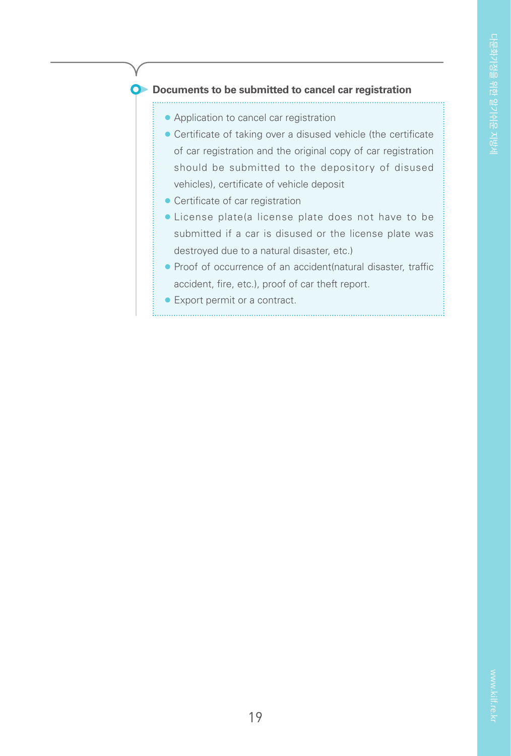#### **O** Documents to be submitted to cancel car registration

- Application to cancel car registration
- Certificate of taking over a disused vehicle (the certificate of car registration and the original copy of car registration should be submitted to the depository of disused vehicles), certificate of vehicle deposit
- Certificate of car registration
- License plate(a license plate does not have to be submitted if a car is disused or the license plate was destroyed due to a natural disaster, etc.)
- Proof of occurrence of an accident(natural disaster, traffic accident, fire, etc.), proof of car theft report.

● Export permit or a contract.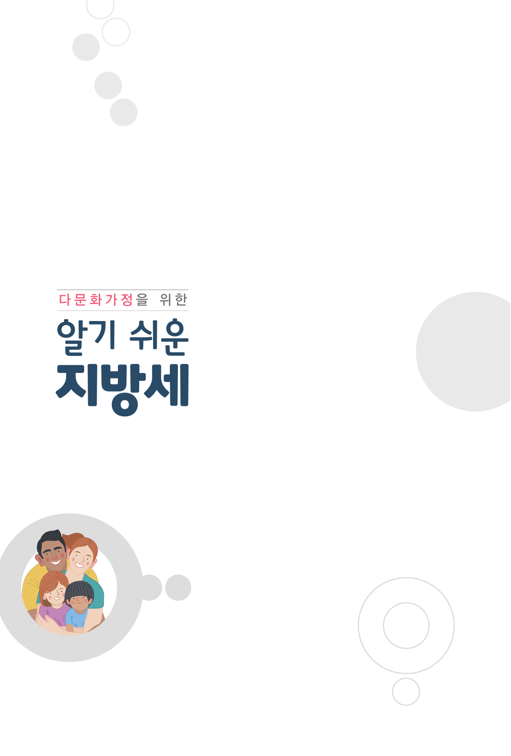





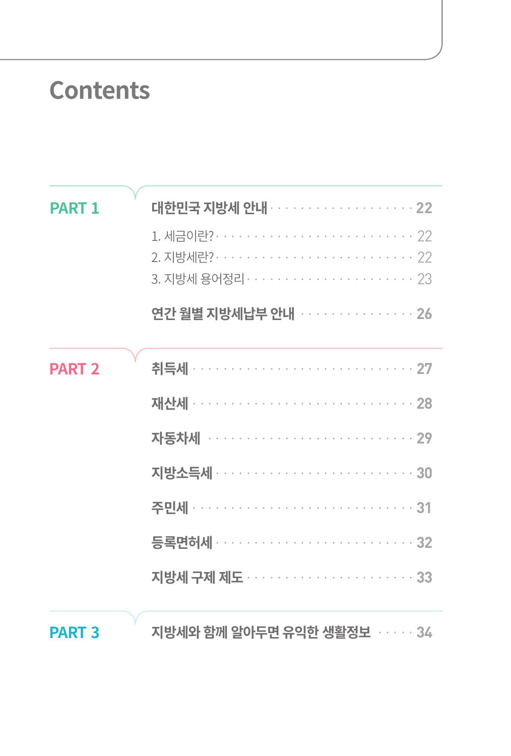### **Contents**

| <b>PART 1</b> | 연간 월별 지방세납부 안내 ··············· 26        |
|---------------|------------------------------------------|
| <b>PART 2</b> | 자동차세 ································ 29 |
| <b>PART 3</b> | 지방세와 함께 알아두면 유익한 생활정보 · · · · · 34       |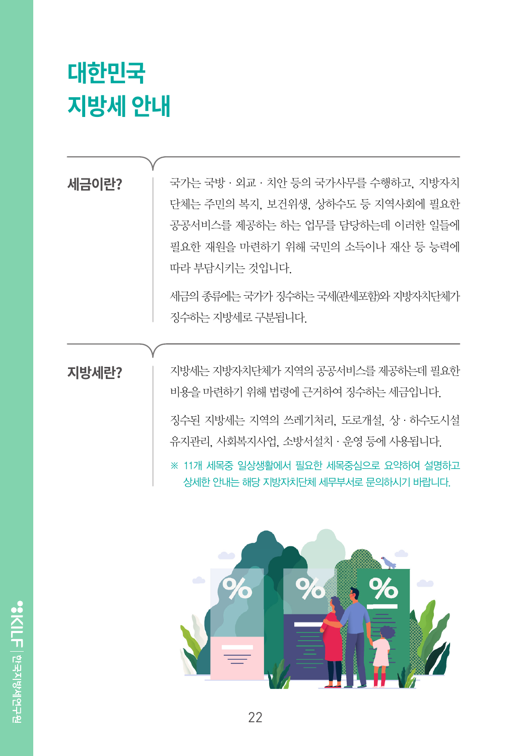# **대한민국 지방세 안내**

#### **세금이란?**

국가는 국방·외교·치안 등의 국가사무를 수행하고, 지방자치 단체는 주민의 복지, 보건위생, 상하수도 등 지역사회에 필요한 공공서비스를 제공하는 하는 업무를 담당하는데 이러한 일들에 필요한 재원을 마련하기 위해 국민의 소득이나 재산 등 능력에 따라 부담시키는 것입니다.

세금의 종류에는 국가가 징수하는 국세(관세포함)와 지방자치단체가 징수하는 지방세로 구분됩니다.

#### **지방세란?**

지방세는 지방자치단체가 지역의 공공서비스를 제공하는데 필요한 비용을 마련하기 위해 법령에 근거하여 징수하는 세금입니다.

징수된 지방세는 지역의 쓰레기처리, 도로개설, 상·하수도시설 유지관리, 사회복지사업, 소방서설치·운영 등에 사용됩니다.

※ 11개 세목중 일상생활에서 필요한 세목중심으로 요약하여 설명하고 상세한 안내는 해당 지방자치단체 세무부서로 문의하시기 바랍니다.

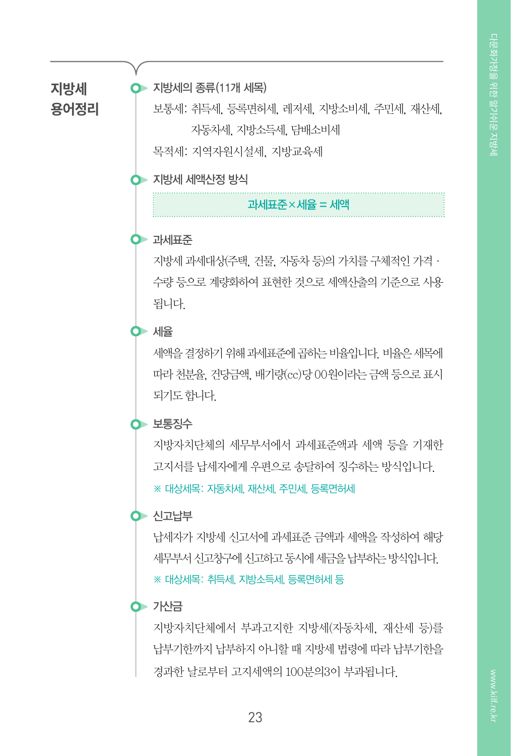**지방세 용어정리**

#### 지방세의 종류(11개 세목)

보통세: 취득세, 등록면허세, 레저세, 지방소비세, 주민세, 재산세, 자동차세, 지방소득세, 담배소비세 목적세: 지역자원시설세, 지방교육세

 $\bullet$  지방세 세액산정 방식

과세표준×세율 = 세액

#### 과세표준

지방세 과세대상(주택, 건물, 자동차 등)의 가치를 구체적인 가격· 수량 등으로 계량화하여 표현한 것으로 세액산출의 기준으로 사용 됩니다.

#### $\bullet$  세용

세액을 결정하기 위해 과세표준에 곱하는 비율입니다. 비율은 세목에 따라 천분율, 건당금액, 배기량(cc)당 00원이라는 금액 등으로 표시 되기도 합니다.

#### $\bullet$  보통징수

지방자치단체의 세무부서에서 과세표준액과 세액 등을 기재한 고지서를 납세자에게 우편으로 송달하여 징수하는 방식입니다.

※ 대상세목: 자동차세, 재산세, 주민세, 등록면허세

#### $\bullet$  신고납부

납세자가 지방세 신고서에 과세표준 금액과 세액을 작성하여 해당 세무부서 신고창구에 신고하고 동시에 세금을 납부하는 방식입니다. ※ 대상세목: 취득세, 지방소득세, 등록면허세 등

#### ⊙ 가산금

지방자치단체에서 부과고지한 지방세(자동차세, 재산세 등)를 납부기한까지 납부하지 아니할 때 지방세 법령에 따라 납부기한을 경과한 날로부터 고지세액의 100분의3이 부과됩니다.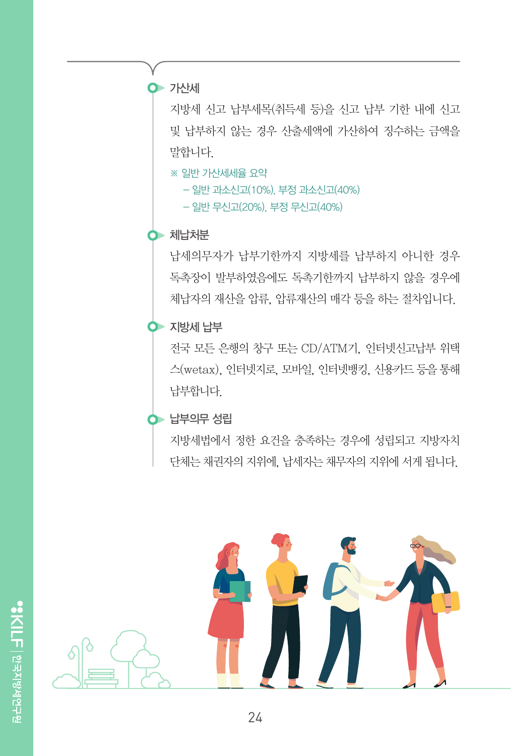$\bullet$  가산세

지방세 신고 납부세목(취득세 등)을 신고 납부 기한 내에 신고 및 납부하지 않는 경우 산출세액에 가산하여 징수하는 금액을 말합니다.

※ 일반 가산세세율 요약

- 일반 과소신고(10%), 부정 과소신고(40%)

- 일반 무신고(20%), 부정 무신고(40%)

#### $\bullet$  체납처분

납세의무자가 납부기한까지 지방세를 납부하지 아니한 경우 독촉장이 발부하였음에도 독촉기한까지 납부하지 않을 경우에 체납자의 재산을 압류, 압류재산의 매각 등을 하는 절차입니다.

#### $\bullet$  지방세 납부

전국 모든 은행의 창구 또는 CD/ATM기, 인터넷신고납부 위택 스(wetax), 인터넷지로, 모바일, 인터넷뱅킹, 신용카드 등을 통해 납부합니다.

#### $\bullet$  납부의무 성립

지방세법에서 정한 요건을 충족하는 경우에 성립되고 지방자치 단체는 채권자의 지위에, 납세자는 채무자의 지위에 서게 됩니다.

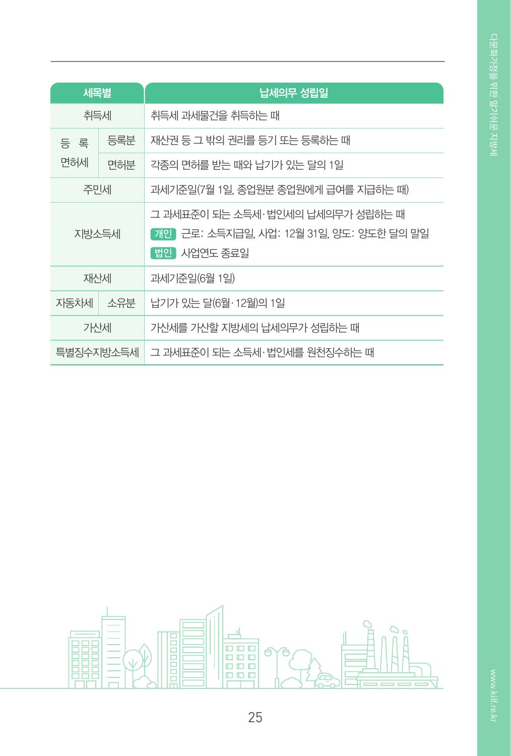| 세목별        |     | 납세의무 성립일                                                                                    |
|------------|-----|---------------------------------------------------------------------------------------------|
| 취득세        |     | 취득세 과세물건을 취득하는 때                                                                            |
| 등 록<br>면허세 | 등록분 | 재산권 등 그 밖의 권리를 등기 또는 등록하는 때                                                                 |
|            | 면허분 | 각종의 면허를 받는 때와 납기가 있는 달의 1일                                                                  |
| 주민세        |     | 과세기준일(7월 1일, 종업원분 종업원에게 급여를 지급하는 때)                                                         |
| 지방소득세      |     | 그 과세표준이 되는 소득세·법인세의 납세의무가 성립하는 때<br>개인 근로: 소득지급일, 사업: 12월 31일, 양도: 양도한 달의 말일<br>법인 사업연도 종료일 |
| 재산세        |     | 과세기준일(6월 1일)                                                                                |
| 자동차세       | 소유분 | 납기가 있는 달(6월·12월)의 1일                                                                        |
| 가산세        |     | 가산세를 가산할 지방세의 납세의무가 성립하는 때                                                                  |
| 특별징수지방소득세  |     | 그 과세표준이 되는 소득세·법인세를 원천징수하는 때                                                                |

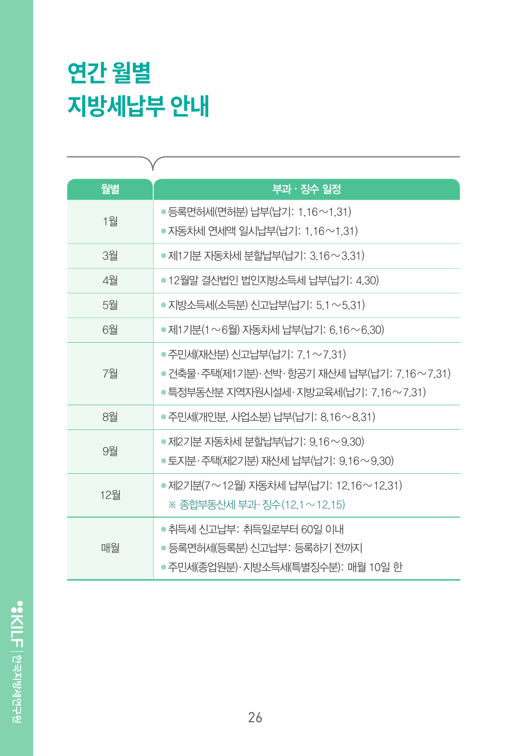# **연간 월별 지방세납부 안내**

| γ   |                                                                                                                       |
|-----|-----------------------------------------------------------------------------------------------------------------------|
| 월별  | 부과 · 징수 일정                                                                                                            |
| 1월  | ● 등록면허세(면허분) 납부(납기: 1.16∼1.31)<br>● 자동차세 연세액 일시납부(납기: 1.16~1.31)                                                      |
| 3월  | ● 제1기분 자동차세 분할납부(납기: 3.16~3.31)                                                                                       |
| 4월  | ● 12월말 결산법인 법인지방소득세 납부(납기: 4.30)                                                                                      |
| 5월  | ● 지방소득세(소득분) 신고납부(납기: 5.1 ~ 5.31)                                                                                     |
| 6월  | ● 제1기분(1~6월) 자동차세 납부(납기: 6.16~6.30)                                                                                   |
| 7월  | • 주민세(재산분) 신고납부(납기: 7.1 ~ 7.31)<br>●건축물·주택(제1기분)·선박·항공기 재산세 납부(납기: 7,16~7,31)<br>●특정부동산분 지역자원시설세·지방교육세(납기: 7,16~7,31) |
| 8월  | ● 주민세(개인분, 사업소분) 납부(납기: 8.16~8.31)                                                                                    |
| 9월  | ● 제2기분 자동차세 분할납부(납기: 9.16~9.30)<br>● 토지분·주택(제2기분) 재산세 납부(납기: 9.16~9.30)                                               |
| 12월 | ● 제2기분(7~12월) 자동차세 납부(납기: 12.16~12.31)<br>※ 종합부동산세 부과·징수(12.1~12.15)                                                  |
| 매월  | ●취득세 신고납부: 취득일로부터 60일 이내<br>• 등록면허세(등록분) 신고납부: 등록하기 전까지<br>●주민세(종업원분)·지방소득세(특별징수분): 매월 10일 한                          |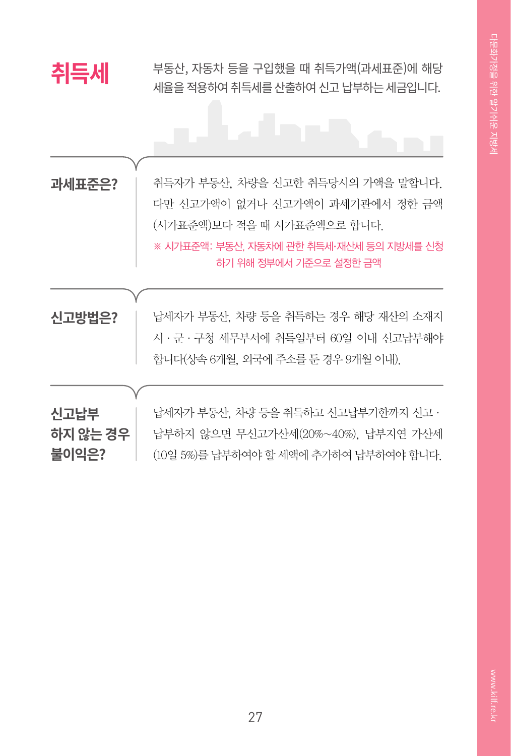**취득세** 부동산, 자동차 등을 구입했을 때 취득가액(과세표준)에 해당 세율을 적용하여 취득세를 산출하여 신고 납부하는 세금입니다.

| 과세표준은?   | 취득자가 부동산, 차량을 신고한 취득당시의 가액을 말합니다.        |
|----------|------------------------------------------|
|          | 다만 신고가액이 없거나 신고가액이 과세기관에서 정한 금액          |
|          | (시가표준액)보다 적을 때 시가표준액으로 합니다.              |
|          | ※ 시가표준액: 부동산, 자동차에 관한 취득세·재산세 등의 지방세를 신청 |
|          | 하기 위해 정부에서 기준으로 설정한 금액                   |
|          |                                          |
| 신고방법은?   | 납세자가 부동산, 차량 등을 취득하는 경우 해당 재산의 소재지       |
|          | 시 · 군 · 구청 세무부서에 취득일부터 60일 이내 신고납부해야     |
|          |                                          |
|          | 합니다(상속 6개월, 외국에 주소를 둔 경우 9개월 이내).        |
|          |                                          |
|          |                                          |
| 신고납부     | 납세자가 부동산, 차량 등을 취득하고 신고납부기한까지 신고 ·       |
| 하지 않는 경우 | 납부하지 않으면 무신고가산세(20%~40%), 납부지연 가산세       |
| 불이익은?    | (10일 5%)를 납부하여야 할 세액에 추가하여 납부하여야 합니다.    |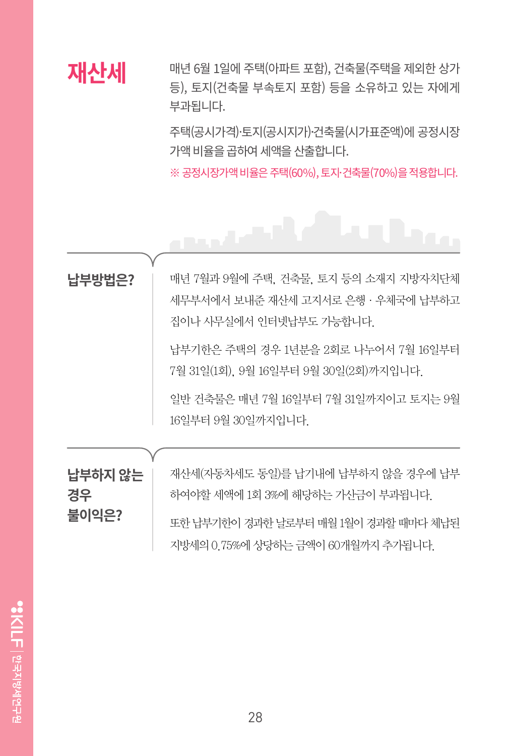### **재산세**

매년 6월 1일에 주택(아파트 포함), 건축물(주택을 제외한 상가 등), 토지(건축물 부속토지 포함) 등을 소유하고 있는 자에게 부과됩니다.

주택(공시가격)·토지(공시지가)〮건축물(시가표준액)에 공정시장 가액 비율을 곱하여 세액을 산출합니다.

※ 공정시장가액 비율은 주택(60%), 토지·건축물(70%)을 적용합니다.

### فالمحص 매년 7월과 9월에 주택, 건축물, 토지 등의 소재지 지방자치단체 **납부방법은?** 세무부서에서 보내준 재산세 고지서로 은행·우체국에 납부하고 집이나 사무실에서 인터넷납부도 가능합니다. 납부기한은 주택의 경우 1년분을 2회로 나누어서 7월 16일부터 7월 31일(1회), 9월 16일부터 9월 30일(2회)까지입니다. 일반 건축물은 매년 7월 16일부터 7월 31일까지이고 토지는 9월 16일부터 9월 30일까지입니다. 재산세(자동차세도 동일)를 납기내에 납부하지 않을 경우에 납부 **납부하지 않는** 하여야할 세액에 1회 3%에 해당하는 가산금이 부과됩니다. **경우 불이익은?** 또한 납부기한이 경과한 날로부터 매월 1월이 경과할 때마다 체납된 지방세의 0.75%에 상당하는 금액이 60개월까지 추가됩니다.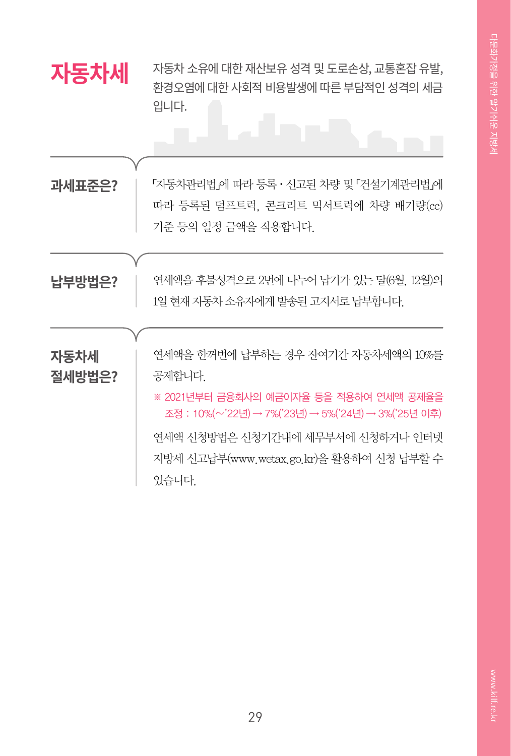| 자동차세           | 자동차 소유에 대한 재산보유 성격 및 도로손상, 교통혼잡 유발,<br>환경오염에 대한 사회적 비용발생에 따른 부담적인 성격의 세금<br>입니다.                                                                                                                                                       |
|----------------|----------------------------------------------------------------------------------------------------------------------------------------------------------------------------------------------------------------------------------------|
| 과세표준은?         | 「자동차관리법』에 따라 등록 • 신고된 차량 및 「건설기계관리법』에<br>따라 등록된 덤프트럭, 콘크리트 믹서트럭에 차량 배기량(cc)<br>기준 등의 일정 금액을 적용합니다.                                                                                                                                     |
| 납부방법은?         | 연세액을 후불성격으로 2번에 나누어 납기가 있는 달(6월, 12월)의<br>1일 현재 자동차 소유자에게 발송된 고지서로 납부합니다.                                                                                                                                                              |
| 자동차세<br>절세방법은? | 연세액을 한꺼번에 납부하는 경우 잔여기간 자동차세액의 10%를<br>공제합니다.<br>※ 2021년부터 금융회사의 예금이자율 등을 적용하여 연세액 공제율을<br>조정 : 10%(~'22년) → 7%('23년) → 5%('24년) → 3%('25년 이후)<br>연세액 신청방법은 신청기간내에 세무부서에 신청하거나 인터넷<br>지방세 신고납부(www.wetax.go.kr)을 활용하여 신청 납부할 수<br>있습니다. |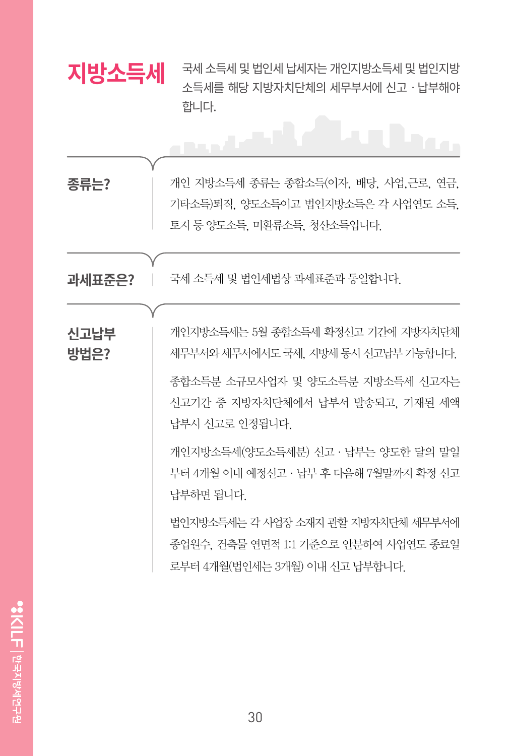| 지방소득세        | 국세 소득세 및 법인세 납세자는 개인지방소득세 및 법인지방<br>소득세를 해당 지방자치단체의 세무부서에 신고 · 납부해야<br>합니다.                                                                                                                                                                                                                                                                                                   |
|--------------|-------------------------------------------------------------------------------------------------------------------------------------------------------------------------------------------------------------------------------------------------------------------------------------------------------------------------------------------------------------------------------|
|              | المعتملين<br>ريا                                                                                                                                                                                                                                                                                                                                                              |
| 종류는?         | 개인 지방소득세 종류는 종합소득(이자, 배당, 사업,근로, 연금,<br>기타소득)퇴직. 양도소득이고 법인지방소득은 각 사업연도 소득.<br>토지 등 양도소득, 미환류소득, 청산소득입니다.                                                                                                                                                                                                                                                                      |
| 과세표준은?       | 국세 소득세 및 법인세법상 과세표준과 동일합니다.                                                                                                                                                                                                                                                                                                                                                   |
| 신고납부<br>방법은? | 개인지방소득세는 5월 종합소득세 확정신고 기간에 지방자치단체<br>세무부서와 세무서에서도 국세, 지방세 동시 신고납부 가능합니다.<br>종합소득분 소규모사업자 및 양도소득분 지방소득세 신고자는<br>신고기간 중 지방자치단체에서 납부서 발송되고, 기재된 세액<br>납부시 신고로 인정됩니다.<br>개인지방소득세(양도소득세분) 신고 · 납부는 양도한 달의 말일<br>부터 4개월 이내 예정신고 · 납부 후 다음해 7월말까지 확정 신고<br>납부하면 됩니다.<br>법인지방소득세는 각 사업장 소재지 관할 지방자치단체 세무부서에<br>종업원수. 건축물 연면적 1:1 기준으로 안분하여 사업연도 종료일<br>로부터 4개월(법인세는 3개월) 이내 신고 납부합니다. |
|              |                                                                                                                                                                                                                                                                                                                                                                               |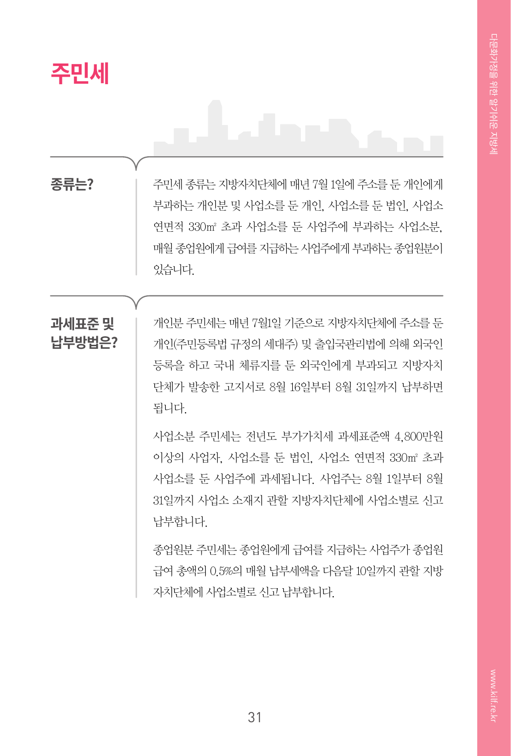

**종류는?**

주민세 종류는 지방자치단체에 매년 7월 1일에 주소를 둔 개인에게 부과하는 개인분 및 사업소를 둔 개인, 사업소를 둔 법인, 사업소 연면적 330㎡ 초과 사업소를 둔 사업주에 부과하는 사업소분, 매월 종업원에게 급여를 지급하는 사업주에게 부과하는 종업원분이 있습니다.

### **과세표준 및 납부방법은?**

개인분 주민세는 매년 7월1일 기준으로 지방자치단체에 주소를 둔 개인(주민등록법 규정의 세대주) 및 출입국관리법에 의해 외국인 등록을 하고 국내 체류지를 둔 외국인에게 부과되고 지방자치 단체가 발송한 고지서로 8월 16일부터 8월 31일까지 납부하면 됩니다.

사업소분 주민세는 전년도 부가가치세 과세표준액 4,800만원 이상의 사업자, 사업소를 둔 법인, 사업소 연면적 330㎡ 초과 사업소를 둔 사업주에 과세됩니다. 사업주는 8월 1일부터 8월 31일까지 사업소 소재지 관할 지방자치단체에 사업소별로 신고 납부합니다.

종업원분 주민세는 종업원에게 급여를 지급하는 사업주가 종업원 급여 총액의 0.5%의 매월 납부세액을 다음달 10일까지 관할 지방 자치단체에 사업소별로 신고 납부합니다.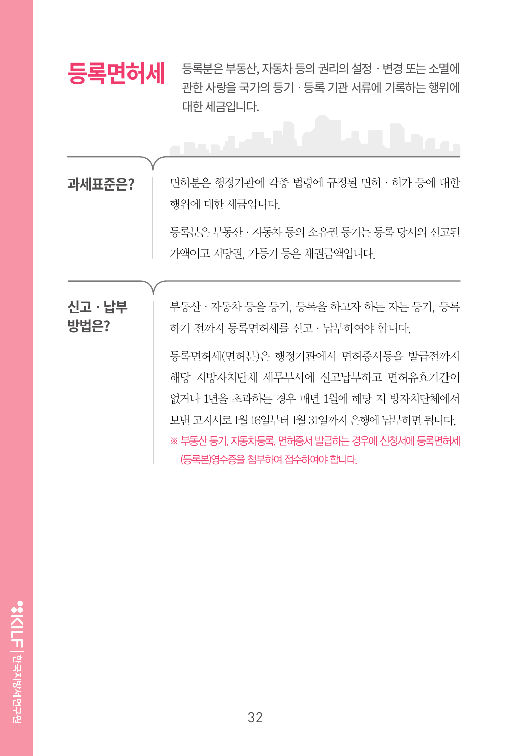

등록분은 부동산, 자동차 등의 권리의 설정ㆍ변경 또는 소멸에 관한 사랑을 국가의 등기ㆍ등록 기관 서류에 기록하는 행위에 대한 세금입니다.

**과세표준은?**

면허분은 행정기관에 각종 법령에 규정된 면허·허가 등에 대한 행위에 대한 세금입니다.

등록분은 부동산·자동차 등의 소유권 등기는 등록 당시의 신고된 가액이고 저당권, 가등기 등은 채권금액입니다.

**신고ㆍ납부 방법은?**

부동산·자동차 등을 등기, 등록을 하고자 하는 자는 등기, 등록 하기 전까지 등록면허세를 신고·납부하여야 합니다.

등록면허세(면허분)은 행정기관에서 면허증서등을 발급전까지 해당 지방자치단체 세무부서에 신고납부하고 면허유효기간이 없거나 1년을 초과하는 경우 매년 1월에 해당 지 방자치단체에서 보낸 고지서로 1월 16일부터 1월 31일까지 은행에 납부하면 됩니다. ※ 부동산 등기, 자동차등록, 면허증서 발급하는 경우에 신청서에 등록면허세 (등록본)영수증을 첨부하여 접수하여야 합니다.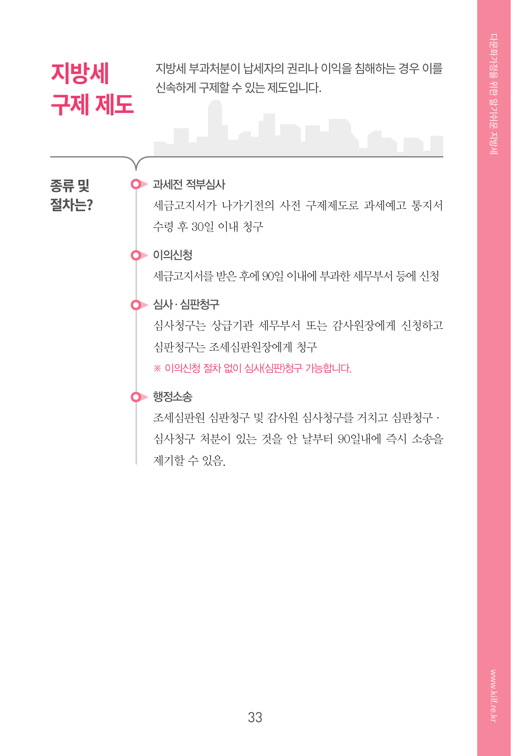### **지방세 구제 제도**

지방세 부과처분이 납세자의 권리나 이익을 침해하는 경우 이를 신속하게 구제할 수 있는 제도입니다.

**종류 및 절차는?**

### $\bullet$  과세전 적부심사

세금고지서가 나가기전의 사전 구제제도로 과세예고 통지서 수령 후 30일 이내 청구

#### 이의신청

세금고지서를 받은 후에 90일 이내에 부과한 세무부서 등에 신청

#### **•••** 심사 · 심판청구

심사청구는 상급기관 세무부서 또는 감사원장에게 신청하고 심판청구는 조세심판원장에게 청구

※ 이의신청 절차 없이 심사(심판)청구 가능합니다.

#### $\bullet$  행정소송

조세심판원 심판청구 및 감사원 심사청구를 거치고 심판청구· 심사청구 처분이 있는 것을 안 날부터 90일내에 즉시 소송을 제기할 수 있음.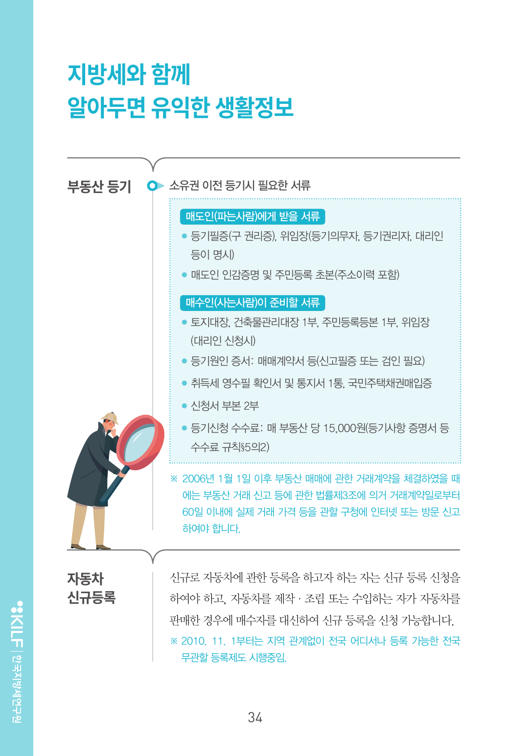## **지방세와 함께 알아두면 유익한 생활정보**



"SKILFI 한국지방세연구원

무관할 등록제도 시행중임.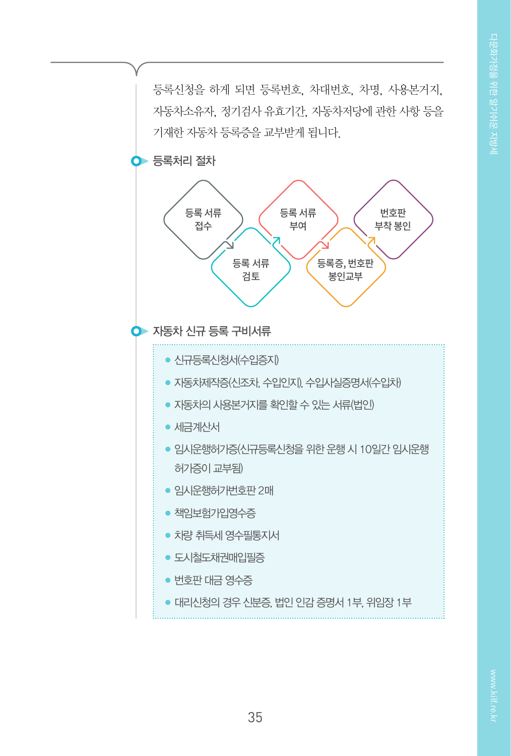등록신청을 하게 되면 등록번호, 차대번호, 차명, 사용본거지, 자동차소유자, 정기검사 유효기간, 자동차저당에 관한 사항 등을 기재한 자동차 등록증을 교부받게 됩니다.

 $\bullet$  등록처리 절차



● 신규등록신청서(수입증지)

- 자동차제작증(신조차, 수입인지), 수입사실증명서(수입차)
- 자동차의 사용본거지를 확인할 수 있는 서류(법인)
- 세금계산서
- 임시운행허가증(신규등록신청을 위한 운행 시 10일간 임시운행 허가증이 교부됨)
- 임시운행허가번호판 2매
- 책임보험가입영수증
- 차량 취득세 영수필통지서
- 도시철도채권매입필증
- $\bullet$  번호판 대금 영수증
- 대리신청의 경우 신분증, 법인 인감 증명서 1부, 위임장 1부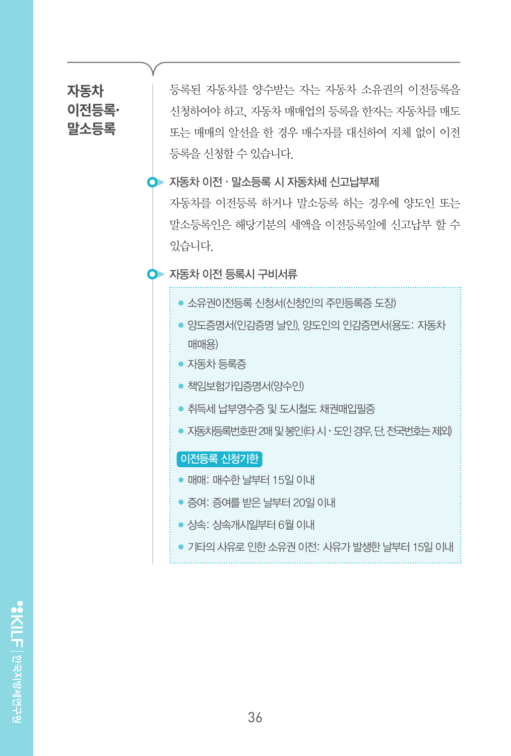### **자동차 이전등록· 말소등록**

등록된 자동차를 양수받는 자는 자동차 소유권의 이전등록을 신청하여야 하고, 자동차 매매업의 등록을 한자는 자동차를 매도 또는 매매의 알선을 한 경우 매수자를 대신하여 지체 없이 이전 등록을 신청할 수 있습니다.

#### 자동차 이전ㆍ말소등록 시 자동차세 신고납부제

자동차를 이전등록 하거나 말소등록 하는 경우에 양도인 또는 말소등록인은 해당기분의 세액을 이전등록일에 신고납부 할 수 있습니다.

#### 자동차 이전 등록시 구비서류

- 소유권이전등록 신청서(신청인의 주민등록증 도장)
- 양도증명서(인감증명 날인), 양도인의 인감증면서(용도: 자동차 매매용)
- 자동차 등록증
- 책임보험가입증명서(양수인)
- 취득세 납부영수증 및 도시철도 채권매입필증
- 자동차등록번호판 2매 및 봉인(타 시 · 도인 경우, 단, 전국번호는 제외)

#### 이전등록 신청기한

- 매매: 매수한 날부터 15일 이내
- 증여: 증여를 받은 날부터 20일 이내
- 상속: 상속개시일부터 6월 이내
- 기타의 사유로 인한 소유권 이전: 사유가 발생한 날부터 15일 이내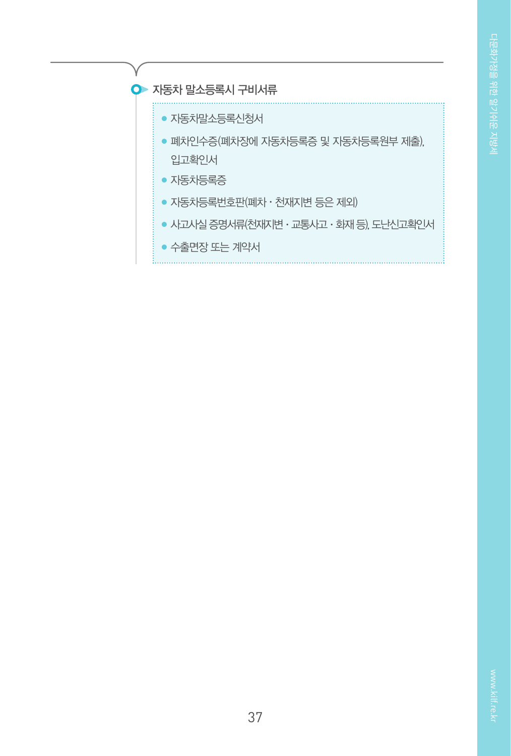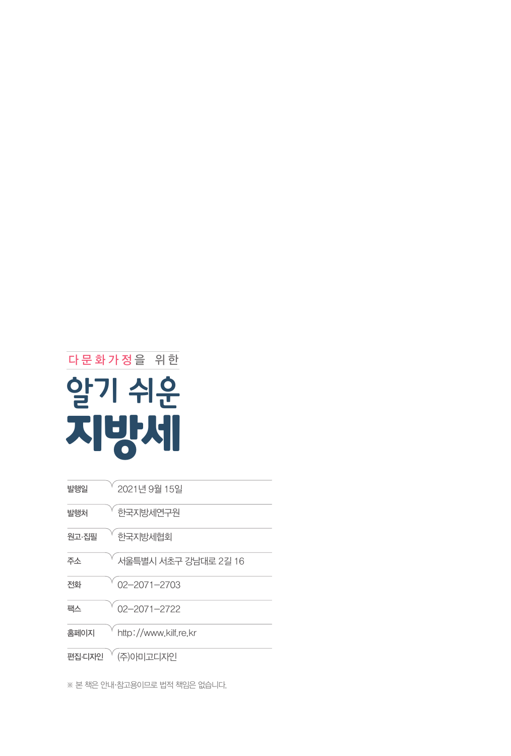※ 본 책은 안내·참고용이므로 법적 책임은 없습니다.

| 발행일    | 2021년 9월 15일          |
|--------|-----------------------|
| 발행처    | 한국지방세연구원              |
| 원고·집필  | 한국지방세협회               |
| 주소     | 서울특별시 서초구 강남대로 2길 16  |
| 전화     | $02 - 2071 - 2703$    |
| 팩스     | $02 - 2071 - 2722$    |
| 홈페이지   | http://www.kilf.re.kr |
| 편집·디자인 | (주)아미고디자인             |